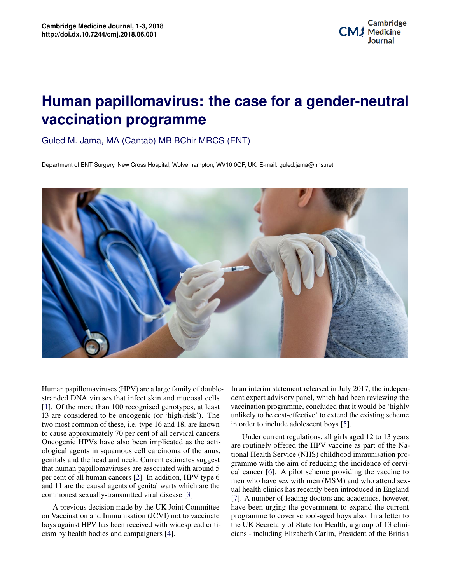## **Potential Applications of Three-dimensional Biomann programme**<br> **vaccination programme Human papillomavirus: the case for a gender-neutral**

Guled M. Jama, MA (Cantab) MB BChir MRCS (ENT)

Department of ENT Surgery, New Cross Hospital, Wolverhampton, WV10 0QP, UK. E-mail: guled.jama@nhs.net



Oncogenic HPVs have also been implicated as the aetigenitals and the head and neck. Current estimates suggest **2 Cal cancer** [6]. A pilot scheme providing the vaccine to per cent of all human cancers [\[2\]](#page-1-1). In addition, HPV type 6 **and the more than 100 recognised genoty** and who attend sexand 11 are the causal agents of genital warts which are the commonest sexually-transmitted viral disease [\[3\]](#page-1-2). *Department of Enterprofile With Surgery and Stranded DNA viruses that infect skin and mucosal cells* dent expert advisory panel, which has stranded DNA viruses that infect skin and mucosal cells [\[1\]](#page-1-0). Of the more than 100 recognised genotypes, at least  $\frac{12}{3}$  cm sensitively to a generalized (cm this highly). The ological agents in squamous cell carcinoma of the anus,<br>tional Health Service (NHS) childhood immunisation pro-Human papillomaviruses (HPV) are a large family of double-13 are considered to be oncogenic (or 'high-risk'). The two most common of these, i.e. type 16 and 18, are known to cause approximately 70 per cent of all cervical cancers. that human papillomaviruses are associated with around 5

A provious decision made by the CK folin Committee on Vaccination and Immunisation (JCVI) not to vaccinate on vaccination and immunisation (JCV1) not to vaccinate programme to cover school-aged boys also. In a letter to<br>boys against HPV has been received with widespread criti- the UK Secretary of State for Health, a group of 13 cism by health bodies and campaigners [\[4\]](#page-2-0). A previous decision made by the UK Joint Committee

In an interim statement released in July 2017, the indepen-<br>dent expert advisory panel, which had been reviewing the It can be a concept of biographic that the concept of biographs of biographs of biographs of  $\mathbb{R}^n$ . dent expert advisory panel, which had been reviewing the vaccination programme, concluded that it would be 'highly unlikely to be cost-effective' to extend the existing scheme in order to include adolescent boys [\[5\]](#page-2-1).

e aeti-<br>
<sup>Culture of Organisment regulations, all girls aged 12 to 13 years<br>
<sup>Culture of Organism</sub></sup></sup> are routinely offered the HPV vaccine as part of the Na- $\frac{15}{15}$  gramme with the aim of reducing the incidence of cerviwhich suggests increase the speed of health suggests increase  $\frac{1}{2}$  cal cancer [\[6\]](#page-2-2). A pilot scheme providing the vaccine to  $\frac{1}{2}$  cal cancer with suggests in  $\frac{1}{2}$  cal call  $\frac{1}{2}$  call  $\frac{1}{2}$  call  $\frac{1}{$ and medical researchers alike have been introduced in England researchers alike have been introduced in England ctors and academics, nowever,<br>nment to expand the current programme to cover school-aged boys also. In a letter to d chu-<br>cians - including Elizabeth Carlin, President of the British anus, and fourthly offered the *III* v vaceme as part of the *Ivaluation* mate to matter of organization pro- $F_{\text{S}}^{\text{type}}$  o men who have sex with men (MSM) and who attend sexcommonest sexually-transmitted viral disease  $[3]$ . [7]. A number of leading doctors and academics, however, mittee have been urging the government to expand the current the UK Secretary of State for Health, a group of 13 clinimedicine, bioprinting is beginning to play a role in regener-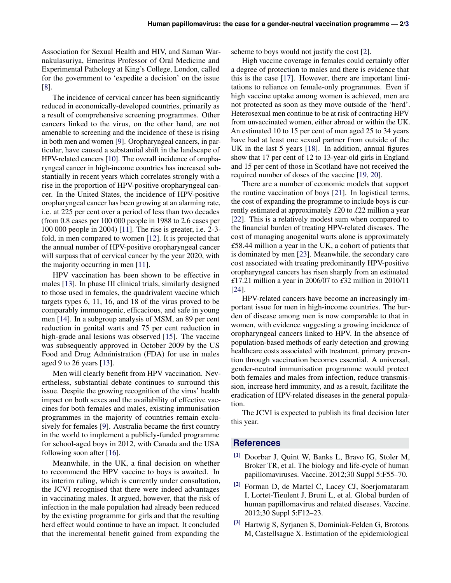Association for Sexual Health and HIV, and Saman Warnakulasuriya, Emeritus Professor of Oral Medicine and Experimental Pathology at King's College, London, called for the government to 'expedite a decision' on the issue [\[8\]](#page-2-5).

The incidence of cervical cancer has been significantly reduced in economically-developed countries, primarily as a result of comprehensive screening programmes. Other cancers linked to the virus, on the other hand, are not amenable to screening and the incidence of these is rising in both men and women [\[9\]](#page-2-6). Oropharyngeal cancers, in particular, have caused a substantial shift in the landscape of HPV-related cancers [\[10\]](#page-2-7). The overall incidence of oropharyngeal cancer in high-income countries has increased substantially in recent years which correlates strongly with a rise in the proportion of HPV-positive oropharyngeal cancer. In the United States, the incidence of HPV-positive oropharyngeal cancer has been growing at an alarming rate, i.e. at 225 per cent over a period of less than two decades (from 0.8 cases per 100 000 people in 1988 to 2.6 cases per 100 000 people in 2004) [\[11\]](#page-2-8). The rise is greater, i.e. 2-3 fold, in men compared to women [\[12\]](#page-2-9). It is projected that the annual number of HPV-positive oropharyngeal cancer will surpass that of cervical cancer by the year 2020, with the majority occurring in men [\[11\]](#page-2-8).

HPV vaccination has been shown to be effective in males [\[13\]](#page-2-10). In phase III clinical trials, similarly designed to those used in females, the quadrivalent vaccine which targets types 6, 11, 16, and 18 of the virus proved to be comparably immunogenic, efficacious, and safe in young men [\[14\]](#page-2-11). In a subgroup analysis of MSM, an 89 per cent reduction in genital warts and 75 per cent reduction in high-grade anal lesions was observed [\[15\]](#page-2-12). The vaccine was subsequently approved in October 2009 by the US Food and Drug Administration (FDA) for use in males aged 9 to 26 years [\[13\]](#page-2-10).

Men will clearly benefit from HPV vaccination. Nevertheless, substantial debate continues to surround this issue. Despite the growing recognition of the virus' health impact on both sexes and the availability of effective vaccines for both females and males, existing immunisation programmes in the majority of countries remain exclusively for females [\[9\]](#page-2-6). Australia became the first country in the world to implement a publicly-funded programme for school-aged boys in 2012, with Canada and the USA following soon after [\[16\]](#page-2-13).

Meanwhile, in the UK, a final decision on whether to recommend the HPV vaccine to boys is awaited. In its interim ruling, which is currently under consultation, the JCVI recognised that there were indeed advantages in vaccinating males. It argued, however, that the risk of infection in the male population had already been reduced by the existing programme for girls and that the resulting herd effect would continue to have an impact. It concluded that the incremental benefit gained from expanding the

scheme to boys would not justify the cost [\[2\]](#page-1-1).

High vaccine coverage in females could certainly offer a degree of protection to males and there is evidence that this is the case [\[17\]](#page-2-14). However, there are important limitations to reliance on female-only programmes. Even if high vaccine uptake among women is achieved, men are not protected as soon as they move outside of the 'herd'. Heterosexual men continue to be at risk of contracting HPV from unvaccinated women, either abroad or within the UK. An estimated 10 to 15 per cent of men aged 25 to 34 years have had at least one sexual partner from outside of the UK in the last 5 years [\[18\]](#page-2-15). In addition, annual figures show that 17 per cent of 12 to 13-year-old girls in England and 15 per cent of those in Scotland have not received the required number of doses of the vaccine [\[19,](#page-2-16) [20\]](#page-2-17).

There are a number of economic models that support the routine vaccination of boys [\[21\]](#page-2-18). In logistical terms, the cost of expanding the programme to include boys is currently estimated at approximately *£*20 to *£*22 million a year [\[22\]](#page-2-19). This is a relatively modest sum when compared to the financial burden of treating HPV-related diseases. The cost of managing anogenital warts alone is approximately *£*58.44 million a year in the UK, a cohort of patients that is dominated by men [\[23\]](#page-2-20). Meanwhile, the secondary care cost associated with treating predominantly HPV-positive oropharyngeal cancers has risen sharply from an estimated *£*17.21 million a year in 2006/07 to *£*32 million in 2010/11 [\[24\]](#page-2-21).

HPV-related cancers have become an increasingly important issue for men in high-income countries. The burden of disease among men is now comparable to that in women, with evidence suggesting a growing incidence of oropharyngeal cancers linked to HPV. In the absence of population-based methods of early detection and growing healthcare costs associated with treatment, primary prevention through vaccination becomes essential. A universal, gender-neutral immunisation programme would protect both females and males from infection, reduce transmission, increase herd immunity, and as a result, facilitate the eradication of HPV-related diseases in the general population.

The JCVI is expected to publish its final decision later this year.

## **References**

- <span id="page-1-0"></span>[1] Doorbar J, Quint W, Banks L, Bravo IG, Stoler M, Broker TR, et al. The biology and life-cycle of human papillomaviruses. Vaccine. 2012;30 Suppl 5:F55–70.
- <span id="page-1-1"></span>[2] Forman D, de Martel C, Lacey CJ, Soerjomataram I, Lortet-Tieulent J, Bruni L, et al. Global burden of human papillomavirus and related diseases. Vaccine. 2012;30 Suppl 5:F12–23.
- <span id="page-1-2"></span><sup>[3]</sup> Hartwig S, Syrjanen S, Dominiak-Felden G, Brotons M, Castellsague X. Estimation of the epidemiological